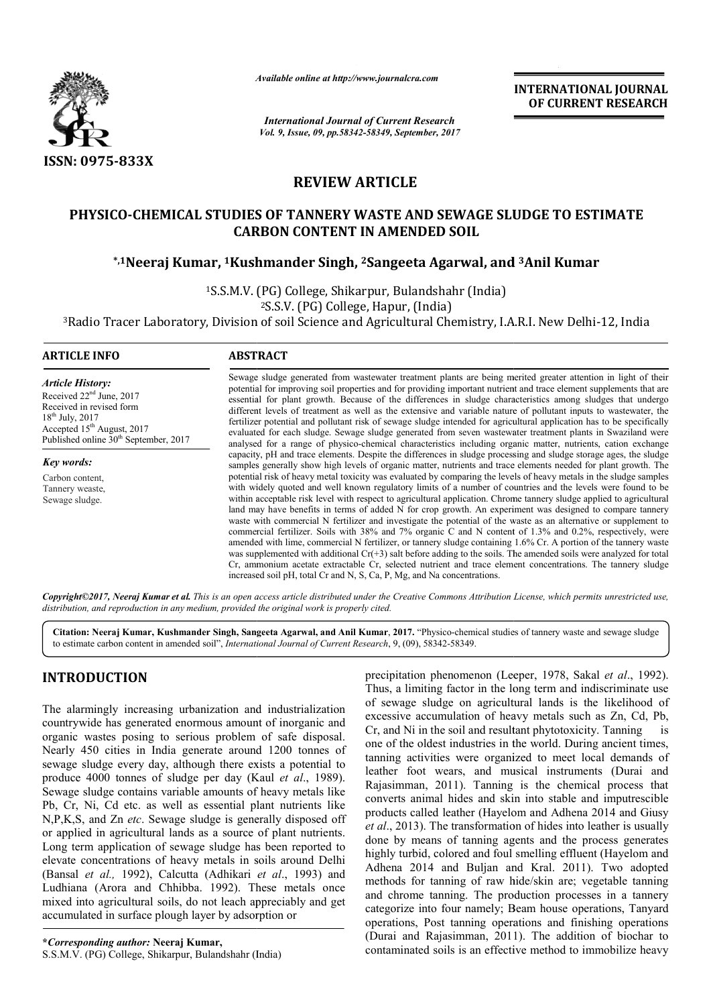

*Available online at http://www.journal http://www.journalcra.com*

*International Journal of Current Research Vol. 9, Issue, 09, pp.58342-58349, September, 2017* **INTERNATIONAL JOURNAL OF CURRENT RESEARCH** 

# **REVIEW ARTICLE**

# PHYSICO-CHEMICAL STUDIES OF TANNERY WASTE AND SEWAGE SLUDGE TO ESTIMATE<br>CARBON CONTENT IN AMENDED SOIL<br><sup>5,1</sup>Neeraj Kumar, <sup>1</sup>Kushmander Singh, <sup>2</sup>Sangeeta Agarwal, and <sup>3</sup>Anil Kumar\* **CARBON CONTENT IN AMENDED SOIL** CO-CHEMICAL STUDIES OF TANNERY WASTE AND SEWAGE SLU<br>CARBON CONTENT IN AMENDED SOIL<br><sup>\*,1</sup>Neeraj Kumar, <sup>1</sup>Kushmander Singh, <sup>2</sup>Sangeeta Agarwal, and

<sup>1</sup>S.S.M.V. (PG) College, Shikarpur, Bulandshahr (India) 2S.S.V. (PG) College, Hapur, (India)

3Radio Tracer Laboratory, Division of soil Science and Agricultural Chemistry, I.A.R.I. New Delhi-12, India

| <b>ARTICLE INFO</b>                                                                                                                                                                                      | <b>ABSTRACT</b>                                                                                                                                                                                                                                                                                                                                                                                                                                                                                                                                                                                                                                                                                                                                                                                                                                                                                          |
|----------------------------------------------------------------------------------------------------------------------------------------------------------------------------------------------------------|----------------------------------------------------------------------------------------------------------------------------------------------------------------------------------------------------------------------------------------------------------------------------------------------------------------------------------------------------------------------------------------------------------------------------------------------------------------------------------------------------------------------------------------------------------------------------------------------------------------------------------------------------------------------------------------------------------------------------------------------------------------------------------------------------------------------------------------------------------------------------------------------------------|
| <b>Article History:</b><br>Received 22 <sup>nd</sup> June, 2017<br>Received in revised form<br>$18^{th}$ July, 2017<br>Accepted $15th$ August, 2017<br>Published online 30 <sup>th</sup> September, 2017 | Sewage sludge generated from wastewater treatment plants are being merited greater attention in light of their<br>potential for improving soil properties and for providing important nutrient and trace element supplements that are<br>essential for plant growth. Because of the differences in sludge characteristics among sludges that undergo<br>different levels of treatment as well as the extensive and variable nature of pollutant inputs to wastewater, the<br>fertilizer potential and pollutant risk of sewage sludge intended for agricultural application has to be specifically<br>evaluated for each sludge. Sewage sludge generated from seven wastewater treatment plants in Swaziland were<br>analysed for a range of physico-chemical characteristics including organic matter, nutrients, cation exchange                                                                       |
| Key words:                                                                                                                                                                                               | capacity, pH and trace elements. Despite the differences in sludge processing and sludge storage ages, the sludge<br>samples generally show high levels of organic matter, nutrients and trace elements needed for plant growth. The                                                                                                                                                                                                                                                                                                                                                                                                                                                                                                                                                                                                                                                                     |
| Carbon content,                                                                                                                                                                                          | potential risk of heavy metal toxicity was evaluated by comparing the levels of heavy metals in the sludge samples                                                                                                                                                                                                                                                                                                                                                                                                                                                                                                                                                                                                                                                                                                                                                                                       |
| Tannery weaste,                                                                                                                                                                                          | with widely quoted and well known regulatory limits of a number of countries and the levels were found to be                                                                                                                                                                                                                                                                                                                                                                                                                                                                                                                                                                                                                                                                                                                                                                                             |
| Sewage sludge.                                                                                                                                                                                           | within acceptable risk level with respect to agricultural application. Chrome tannery sludge applied to agricultural<br>land may have benefits in terms of added N for crop growth. An experiment was designed to compare tannery<br>waste with commercial N fertilizer and investigate the potential of the waste as an alternative or supplement to<br>commercial fertilizer. Soils with 38% and 7% organic C and N content of 1.3% and 0.2%, respectively, were<br>amended with lime, commercial N fertilizer, or tannery sludge containing 1.6% Cr. A portion of the tannery waste<br>was supplemented with additional $Cr(+3)$ salt before adding to the soils. The amended soils were analyzed for total<br>Cr, ammonium acetate extractable Cr, selected nutrient and trace element concentrations. The tannery sludge<br>increased soil pH, total Cr and N, S, Ca, P, Mg, and Na concentrations. |

*Copyright©2017, Neeraj Kumar et al. This is an open access article distributed under the Creative Commons Att Attribution License, which ribution permits unrestricted use, distribution, and reproduction in any medium, provided the original work is properly cited.*

Citation: Neeraj Kumar, Kushmander Singh, Sangeeta Agarwal, and Anil Kumar, 2017. "Physico-chemical studies of tannery waste and sewage sludge to estimate carbon content in amended soil", *International Journal of Current Research* , 9, (09), 58342-58349.

# **INTRODUCTION**

The alarmingly increasing urbanization and industrialization countrywide has generated enormous amount of inorganic and organic wastes posing to serious problem of safe disposal. Nearly 450 cities in India generate around 1200 tonnes of sewage sludge every day, although there exists a potential to produce 4000 tonnes of sludge per day (Kaul *et al*., 1989). Sewage sludge contains variable amounts of heavy metals like Pb, Cr, Ni, Cd etc. as well as essential plant nutrients like N,P,K,S, and Zn *etc*. Sewage sludge is generally disposed off or applied in agricultural lands as a source of plant nutrients. Long term application of sewage sludge has been reported to elevate concentrations of heavy metals in soils around Delhi (Bansal et al., 1992), Calcutta (Adhikari et al., 1993) and Ludhiana (Arora and Chhibba. 1992). These metals once mixed into agricultural soils, do not leach appreciably and get accumulated in surface plough layer by adsorption or dge is generally disposed off<br>s a source of plant nutrients.<br>
I sludge has been reported to<br>
metals in soils around Delhi<br>
(Adhikari *et al.*, 1993) and

precipitation phenomenon (Leeper, 1978, Sakal<br>
mg urbanization and industrialization<br>
of sewage sludge on agricultural lands is the<br>
ed enormous amount of inorganic and chessive accumulation of heavy metals such a<br>
to ser Thus, a limiting factor in the long term and indiscriminate use of sewage sludge on agricultural lands is the likelihood of excessive accumulation of heavy metals such as Zn, Cd, Pb, Cr, and Ni in the soil and resultant phytotoxicity. one of the oldest industries in the world. During ancient times, tanning activities were organized to meet local demands of leather foot wears, and musical instruments (Durai and Rajasimman, 2011). Tanning is the chemical process that converts animal hides and skin into stable and imputrescible products called leather (Hayelom and Adhena 2014 and Giusy *et al*., 2013). The transformation of hides into leather is usually done by means of tanning agents and the process generates highly turbid, colored and foul smelling effluent (Hayelom and Adhena 2014 and Buljan and Kral. 2011). Two adopted methods for tanning of raw hide/skin are; vegetable tanning and chrome tanning. The production processes in a tannery categorize into four namely; Beam house operations, Ta operations, Post tanning operations and finishing operations operations, Post tanning operations and finishing operations (Durai and Rajasimman, 2011). The addition of biochar to contaminated soils is an effective method to immobilize heavy precipitation phenomenon *(Leeper, 1978, Sakal et al., 1992)*. a limiting factor in the long term and indiscriminate use<br>wage sludge on agricultural lands is the likelihood of<br>ive accumulation of heavy metals such as Zn, Cd, Pb,<br>d Ni in the soil and resultant phytotoxicity. Tanning is one of the oldest industries in the world. During ancient times, tanning activities were organized to meet local demands of leather foot wears, and musical instruments (Durai and Rajasimman, 2011). Tanning is the chemical Adhena 2014 and Buljan and Kral. 2011). Two adopted methods for tanning of raw hide/skin are; vegetable tanning and chrome tanning. The production processes in a tannery categorize into four namely; Beam house operations, **INTERNATIONAL JOURNAL**<br> **OF CURRENT RESEARCH**<br> **OF CURRENT RESEARCH**<br> **CALC SLUDGE TO ESTIMATE**<br> **CALC SLUDGE TO ESTIMATE**<br> **CALC SLUDGE TO ESTIMATE**<br> **CALC 11**<br> **CALC 11**<br> **CALC 11**<br> **CALC 11**<br> **CALC 11**<br> **CALC 11**<br> **CA**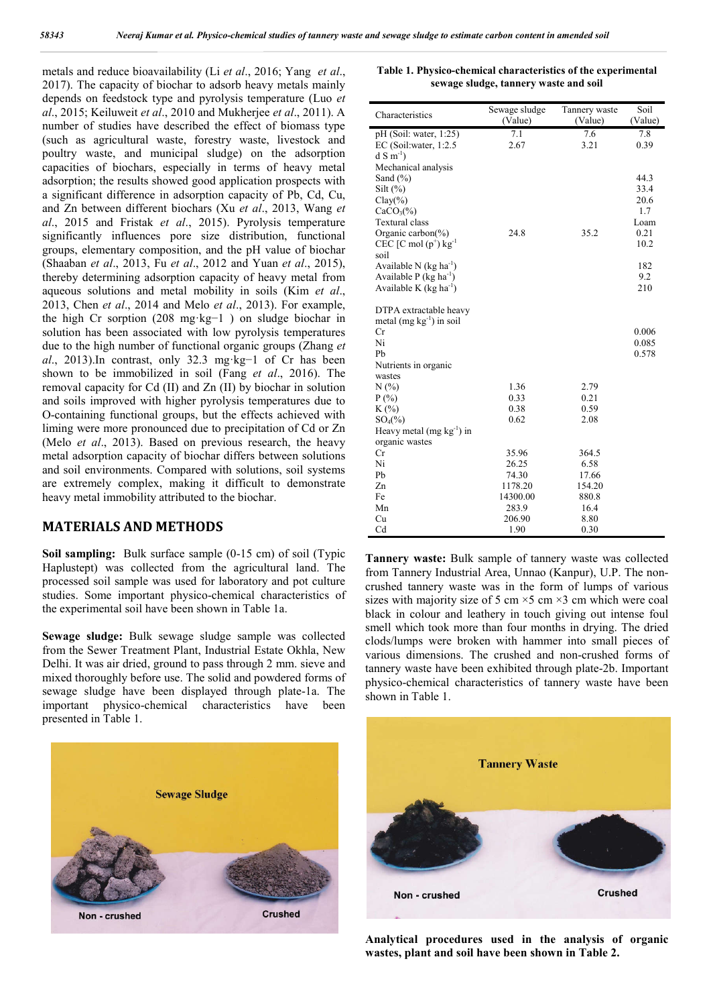metals and reduce bioavailability (Li *et al*., 2016; Yang *et al*., 2017). The capacity of biochar to adsorb heavy metals mainly depends on feedstock type and pyrolysis temperature (Luo *et al*., 2015; Keiluweit *et al*., 2010 and Mukherjee *et al*., 2011). A number of studies have described the effect of biomass type (such as agricultural waste, forestry waste, livestock and poultry waste, and municipal sludge) on the adsorption capacities of biochars, especially in terms of heavy metal adsorption; the results showed good application prospects with a significant difference in adsorption capacity of Pb, Cd, Cu, and Zn between different biochars (Xu *et al*., 2013, Wang *et al*., 2015 and Fristak *et al*., 2015). Pyrolysis temperature significantly influences pore size distribution, functional groups, elementary composition, and the pH value of biochar (Shaaban *et al*., 2013, Fu *et al*., 2012 and Yuan *et al*., 2015), thereby determining adsorption capacity of heavy metal from aqueous solutions and metal mobility in soils (Kim *et al*., 2013, Chen *et al*., 2014 and Melo *et al*., 2013). For example, the high Cr sorption (208 mg·kg−1 ) on sludge biochar in solution has been associated with low pyrolysis temperatures due to the high number of functional organic groups (Zhang *et al*., 2013).In contrast, only 32.3 mg·kg−1 of Cr has been shown to be immobilized in soil (Fang *et al*., 2016). The removal capacity for Cd (II) and Zn (II) by biochar in solution and soils improved with higher pyrolysis temperatures due to O-containing functional groups, but the effects achieved with liming were more pronounced due to precipitation of Cd or Zn (Melo *et al*., 2013). Based on previous research, the heavy metal adsorption capacity of biochar differs between solutions and soil environments. Compared with solutions, soil systems are extremely complex, making it difficult to demonstrate heavy metal immobility attributed to the biochar.

#### **MATERIALS AND METHODS**

**Soil sampling:** Bulk surface sample (0-15 cm) of soil (Typic Haplustept) was collected from the agricultural land. The processed soil sample was used for laboratory and pot culture studies. Some important physico-chemical characteristics of the experimental soil have been shown in Table 1a.

**Sewage sludge:** Bulk sewage sludge sample was collected from the Sewer Treatment Plant, Industrial Estate Okhla, New Delhi. It was air dried, ground to pass through 2 mm. sieve and mixed thoroughly before use. The solid and powdered forms of sewage sludge have been displayed through plate-1a. The important physico-chemical characteristics have been presented in Table 1.



**Table 1. Physico-chemical characteristics of the experimental sewage sludge, tannery waste and soil**

| Characteristics                                         | Sewage sludge<br>(Value) | Tannery waste<br>(Value) | Soil<br>(Value) |
|---------------------------------------------------------|--------------------------|--------------------------|-----------------|
| $pH$ (Soil: water, 1:25)                                | 7.1                      | 7.6                      | 7.8             |
| EC (Soil: water, $1:2.5$                                | 2.67                     | 3.21                     | 0.39            |
| $dS(m^{-1})$                                            |                          |                          |                 |
| Mechanical analysis                                     |                          |                          |                 |
| Sand $(\% )$                                            |                          |                          | 44.3            |
| Silt $(\% )$                                            |                          |                          | 33.4            |
| $Clay(\%)$                                              |                          |                          | 20.6            |
| $CaCO3(\%)$<br><b>Textural</b> class                    |                          |                          | 1.7<br>Loam     |
| Organic carbon( $\%$ )                                  | 24.8                     | 35.2                     | 0.21            |
| $CEC$ [C mol $(p^+)$ kg <sup>-1</sup>                   |                          |                          | 10.2            |
| soil                                                    |                          |                          |                 |
| Available N (kg ha <sup>-1</sup> )                      |                          |                          | 182             |
| Available P ( $kg \text{ ha}^{-1}$ )                    |                          |                          | 9.2             |
| Available K ( $kg \text{ ha}^{-1}$ )                    |                          |                          | 210             |
| DTPA extractable heavy<br>metal (mg $kg^{-1}$ ) in soil |                          |                          |                 |
| Cr                                                      |                          |                          | 0.006           |
| Ni                                                      |                          |                          | 0.085           |
| Pb                                                      |                          |                          | 0.578           |
| Nutrients in organic                                    |                          |                          |                 |
| wastes                                                  |                          |                          |                 |
| N(%)                                                    | 1.36                     | 2.79                     |                 |
| $P(\% )$                                                | 0.33                     | 0.21                     |                 |
| $K(\%)$                                                 | 0.38                     | 0.59                     |                 |
| $SO_4(\%)$<br>Heavy metal (mg $kg^{-1}$ ) in            | 0.62                     | 2.08                     |                 |
| organic wastes                                          |                          |                          |                 |
| Сr                                                      | 35.96                    | 364.5                    |                 |
| Ni                                                      | 26.25                    | 6.58                     |                 |
| Pb                                                      | 74.30                    | 17.66                    |                 |
| Zn                                                      | 1178.20                  | 154.20                   |                 |
| Fe                                                      | 14300.00                 | 880.8                    |                 |
| Mn                                                      | 283.9                    | 16.4                     |                 |
| Cu                                                      | 206.90                   | 8.80                     |                 |
| C <sub>d</sub>                                          | 1.90                     | 0.30                     |                 |

**Tannery waste:** Bulk sample of tannery waste was collected from Tannery Industrial Area, Unnao (Kanpur), U.P. The noncrushed tannery waste was in the form of lumps of various sizes with majority size of 5 cm  $\times$ 5 cm  $\times$ 3 cm which were coal black in colour and leathery in touch giving out intense foul smell which took more than four months in drying. The dried clods/lumps were broken with hammer into small pieces of various dimensions. The crushed and non-crushed forms of tannery waste have been exhibited through plate-2b. Important physico-chemical characteristics of tannery waste have been shown in Table 1.



**Analytical procedures used in the analysis of organic wastes, plant and soil have been shown in Table 2.**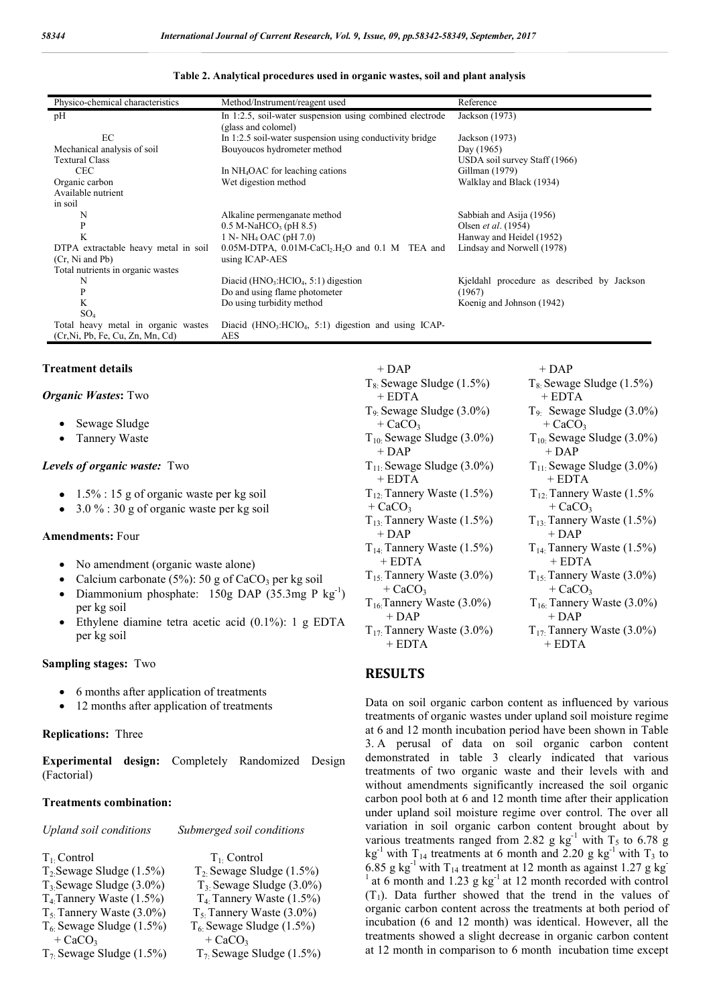| Table 2. Analytical procedures used in organic wastes, soil and plant analysis |  |  |  |  |
|--------------------------------------------------------------------------------|--|--|--|--|
|                                                                                |  |  |  |  |

| Physico-chemical characteristics     | Method/Instrument/reagent used                                                 | Reference                                  |
|--------------------------------------|--------------------------------------------------------------------------------|--------------------------------------------|
| pН                                   | In 1:2.5, soil-water suspension using combined electrode                       | Jackson (1973)                             |
|                                      | (glass and colomel)                                                            |                                            |
| EC                                   | In 1:2.5 soil-water suspension using conductivity bridge                       | Jackson (1973)                             |
| Mechanical analysis of soil          | Bouyoucos hydrometer method                                                    | Day (1965)                                 |
| <b>Textural Class</b>                |                                                                                | USDA soil survey Staff (1966)              |
| <b>CEC</b>                           | In NH <sub>4</sub> OAC for leaching cations                                    | Gillman (1979)                             |
| Organic carbon                       | Wet digestion method                                                           | Walklay and Black (1934)                   |
| Available nutrient                   |                                                                                |                                            |
| in soil                              |                                                                                |                                            |
| N                                    | Alkaline permenganate method                                                   | Sabbiah and Asija (1956)                   |
| $\mathbf{P}$                         | $0.5 M$ -NaHCO <sub>3</sub> (pH 8.5)                                           | Olsen et al. (1954)                        |
| K                                    | 1 N- NH <sub>4</sub> OAC (pH 7.0)                                              | Hanway and Heidel (1952)                   |
| DTPA extractable heavy metal in soil | $0.05M$ -DTPA, $0.01M$ -CaCl <sub>2</sub> .H <sub>2</sub> O and $0.1M$ TEA and | Lindsay and Norwell (1978)                 |
| (Cr. Ni and Pb)                      | using ICAP-AES                                                                 |                                            |
| Total nutrients in organic wastes    |                                                                                |                                            |
| N                                    | Diacid ( $HNO3:HClO4, 5:1$ ) digestion                                         | Kjeldahl procedure as described by Jackson |
| P<br>K                               | Do and using flame photometer                                                  | (1967)                                     |
|                                      | Do using turbidity method                                                      | Koenig and Johnson (1942)                  |
| SO <sub>4</sub>                      |                                                                                |                                            |
| Total heavy metal in organic wastes  | Diacid $(HNO3:HClO4, 5.1)$ digestion and using ICAP-<br>AES                    |                                            |
| (Cr, Ni, Pb, Fe, Cu, Zn, Mn, Cd)     |                                                                                |                                            |

#### **Treatment details**

#### *Organic Wastes***:** Two

- Sewage Sludge
- Tannery Waste

#### *Levels of organic waste:*Two

- $\bullet$  1.5% : 15 g of organic waste per kg soil
- $\bullet$  3.0 % : 30 g of organic waste per kg soil

#### **Amendments:** Four

- No amendment (organic waste alone)
- Calcium carbonate (5%): 50 g of CaCO<sub>3</sub> per kg soil
- Diammonium phosphate: 150g DAP (35.3mg P kg<sup>-1</sup>) per kg soil
- Ethylene diamine tetra acetic acid (0.1%): 1 g EDTA per kg soil

#### **Sampling stages:** Two

- 6 months after application of treatments
- 12 months after application of treatments

#### **Replications:** Three

**Experimental design:** Completely Randomized Design (Factorial)

#### **Treatments combination:**

| <b>Upland soil conditions</b> | Submerged soil conditions     |
|-------------------------------|-------------------------------|
|                               |                               |
| $T_1$ . Control               | $T_1$ . Control               |
| $T_2$ Sewage Sludge $(1.5\%)$ | $T_2$ Sewage Sludge (1.5%)    |
| $T_3$ Sewage Sludge (3.0%)    | $T_3$ Sewage Sludge (3.0%)    |
| $T_4$ Tannery Waste $(1.5\%)$ | $T_4$ Tannery Waste $(1.5\%)$ |
| $T_5$ Tannery Waste (3.0%)    | $T_5$ : Tannery Waste (3.0%)  |
| $T_6$ Sewage Sludge (1.5%)    | $T_6$ . Sewage Sludge (1.5%)  |
| $+$ CaCO <sub>3</sub>         | $+$ CaCO <sub>3</sub>         |
| $T_7$ Sewage Sludge (1.5%)    | $T_7$ Sewage Sludge (1.5%)    |

| $+$ DAP                         | $+$ DAP                         |
|---------------------------------|---------------------------------|
| $T_8$ : Sewage Sludge (1.5%)    | $T_8$ Sewage Sludge $(1.5\%)$   |
| $+$ EDTA                        | $+$ EDTA                        |
| $T_9$ : Sewage Sludge $(3.0\%)$ | $T_{9}$ : Sewage Sludge (3.0%)  |
| $+$ CaCO <sub>3</sub>           | $+$ CaCO <sub>3</sub>           |
| $T_{10}$ : Sewage Sludge (3.0%) | $T_{10}$ : Sewage Sludge (3.0%) |
| $+$ DAP                         | + DAP                           |
| $T_{11}$ : Sewage Sludge (3.0%) | $T_{11}$ : Sewage Sludge (3.0%) |
| $+$ EDTA                        | + EDTA                          |
| $T_{12}$ : Tannery Waste (1.5%) | $T_{12}$ : Tannery Waste (1.5%) |
| $+$ CaCO <sub>3</sub>           | $+$ CaCO <sub>3</sub>           |
| $T_{13}$ : Tannery Waste (1.5%) | $T_{13}$ : Tannery Waste (1.5%) |
| $+$ DAP                         | $+$ DAP                         |
| $T_{14}$ : Tannery Waste (1.5%) | $T_{14}$ . Tannery Waste (1.5%) |
| + EDTA                          | $+$ EDTA                        |
| $T_{15}$ : Tannery Waste (3.0%) | $T_{15}$ : Tannery Waste (3.0%) |
| $+$ CaCO <sub>3</sub>           | $+$ CaCO <sub>3</sub>           |
| $T_{16}$ : Tannery Waste (3.0%) | $T_{16}$ : Tannery Waste (3.0%) |
| $+$ DAP                         | $+$ DAP                         |
| $T_{17}$ : Tannery Waste (3.0%) | $T_{17}$ Tannery Waste (3.0%)   |
| $+$ EDTA                        | $+$ EDTA                        |

#### **RESULTS**

Data on soil organic carbon content as influenced by various treatments of organic wastes under upland soil moisture regime at 6 and 12 month incubation period have been shown in Table 3. A perusal of data on soil organic carbon content demonstrated in table 3 clearly indicated that various treatments of two organic waste and their levels with and without amendments significantly increased the soil organic carbon pool both at 6 and 12 month time after their application under upland soil moisture regime over control. The over all variation in soil organic carbon content brought about by various treatments ranged from 2.82 g  $kg^{-1}$  with T<sub>5</sub> to 6.78 g kg<sup>-1</sup> with T<sub>14</sub> treatments at 6 month and 2.20 g kg<sup>-1</sup> with T<sub>3</sub> to 6.85 g kg<sup>-1</sup> with T<sub>14</sub> treatment at 12 month as against 1.27 g kg<sup>-1</sup> <sup>1</sup> at 6 month and 1.23 g kg<sup>-1</sup> at 12 month recorded with control  $(T_1)$ . Data further showed that the trend in the values of organic carbon content across the treatments at both period of incubation (6 and 12 month) was identical. However, all the treatments showed a slight decrease in organic carbon content at 12 month in comparison to 6 month incubation time except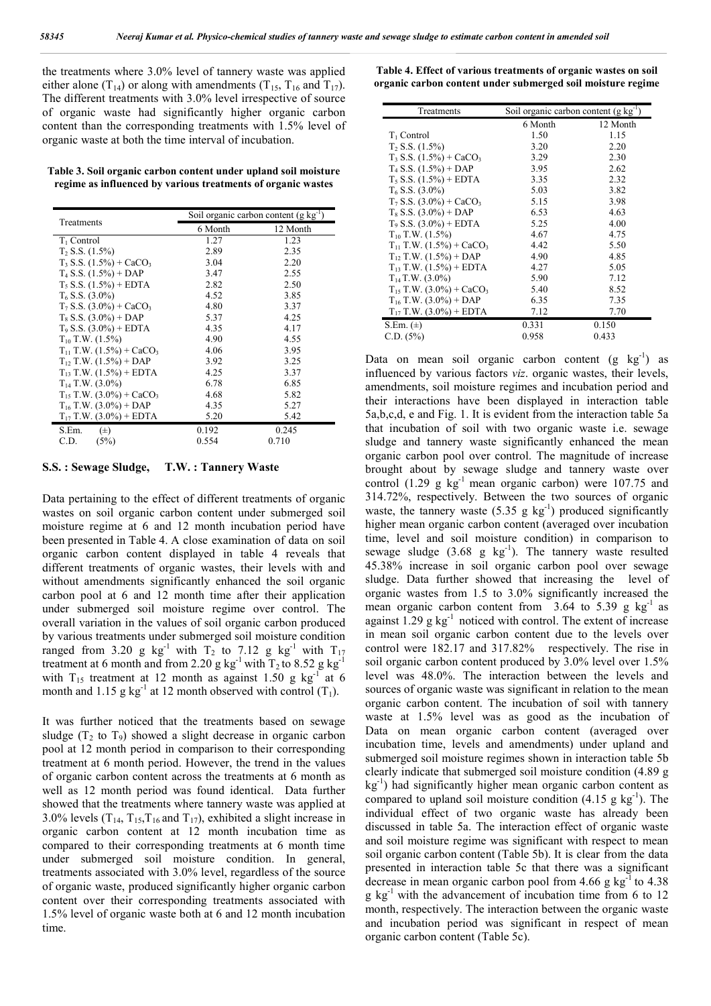the treatments where 3.0% level of tannery waste was applied either alone (T<sub>14</sub>) or along with amendments (T<sub>15</sub>, T<sub>16</sub> and T<sub>17</sub>). The different treatments with 3.0% level irrespective of source of organic waste had significantly higher organic carbon content than the corresponding treatments with 1.5% level of organic waste at both the time interval of incubation.

**Table 3. Soil organic carbon content under upland soil moisture regime as influenced by various treatments of organic wastes**

| Treatments                                  |         | Soil organic carbon content $(g \ kg^{-1})$ |
|---------------------------------------------|---------|---------------------------------------------|
|                                             | 6 Month | 12 Month                                    |
| $T_1$ Control                               | 1.27    | 1.23                                        |
| $T_2$ S.S. $(1.5\%)$                        | 2.89    | 2.35                                        |
| $T_3$ S.S. $(1.5\%)$ + CaCO <sub>3</sub>    | 3.04    | 2.20                                        |
| $T_4$ S.S. $(1.5\%)$ + DAP                  | 3.47    | 2.55                                        |
| $T_5$ S.S. $(1.5\%)$ + EDTA                 | 2.82    | 2.50                                        |
| $T_6$ S.S. (3.0%)                           | 4.52    | 3.85                                        |
| $T_7$ S.S. $(3.0\%)$ + CaCO <sub>3</sub>    | 4.80    | 3.37                                        |
| $T_8$ S.S. $(3.0\%)$ + DAP                  | 5.37    | 4.25                                        |
| $T_9$ S.S. $(3.0\%)$ + EDTA                 | 4.35    | 4.17                                        |
| $T_{10}$ T.W. $(1.5\%)$                     | 4.90    | 4.55                                        |
| $T_{11}$ T.W. $(1.5\%)$ + CaCO <sub>3</sub> | 4.06    | 3.95                                        |
| $T_1$ , T.W. $(1.5\%)$ + DAP                | 3.92    | 3.25                                        |
| $T_{13}$ T.W. $(1.5\%)$ + EDTA              | 4.25    | 3.37                                        |
| $T_{14}$ T.W. (3.0%)                        | 6.78    | 6.85                                        |
| $T_{15}$ T.W. (3.0%) + CaCO <sub>3</sub>    | 4.68    | 5.82                                        |
| $T_{16}$ T.W. (3.0%) + DAP                  | 4.35    | 5.27                                        |
| $T_{17}$ T.W. (3.0%) + EDTA                 | 5.20    | 5.42                                        |
| S.Em.<br>$(\pm)$                            | 0.192   | 0.245                                       |
| C.D.<br>(5%)                                | 0.554   | 0.710                                       |

**S.S. : Sewage Sludge, T.W. : Tannery Waste**

Data pertaining to the effect of different treatments of organic wastes on soil organic carbon content under submerged soil moisture regime at 6 and 12 month incubation period have been presented in Table 4. A close examination of data on soil organic carbon content displayed in table 4 reveals that different treatments of organic wastes, their levels with and without amendments significantly enhanced the soil organic carbon pool at 6 and 12 month time after their application under submerged soil moisture regime over control. The overall variation in the values of soil organic carbon produced by various treatments under submerged soil moisture condition ranged from 3.20 g kg<sup>-1</sup> with  $T_2$  to 7.12 g kg<sup>-1</sup> with  $T_{17}$ treatment at 6 month and from 2.20 g kg<sup>-1</sup> with  $T_2$  to 8.52 g kg<sup>-1</sup> with  $T_{15}$  treatment at 12 month as against 1.50 g kg<sup>-1</sup> at 6 month and 1.15 g kg<sup>-1</sup> at 12 month observed with control  $(T_1)$ .

It was further noticed that the treatments based on sewage sludge  $(T_2 \text{ to } T_9)$  showed a slight decrease in organic carbon pool at 12 month period in comparison to their corresponding treatment at 6 month period. However, the trend in the values of organic carbon content across the treatments at 6 month as well as 12 month period was found identical. Data further showed that the treatments where tannery waste was applied at 3.0% levels  $(T_{14}, T_{15}, T_{16}$  and  $T_{17}$ ), exhibited a slight increase in organic carbon content at 12 month incubation time as compared to their corresponding treatments at 6 month time under submerged soil moisture condition. In general, treatments associated with 3.0% level, regardless of the source of organic waste, produced significantly higher organic carbon content over their corresponding treatments associated with 1.5% level of organic waste both at 6 and 12 month incubation time.

**Table 4. Effect of various treatments of organic wastes on soil organic carbon content under submerged soil moisture regime**

| Treatments                                  | Soil organic carbon content (g kg <sup>-1</sup> ) |          |  |
|---------------------------------------------|---------------------------------------------------|----------|--|
|                                             | 6 Month                                           | 12 Month |  |
| $T_1$ Control                               | 1.50                                              | 1.15     |  |
| $T_2$ S.S. $(1.5\%)$                        | 3.20                                              | 2.20     |  |
| $T_3$ S.S. $(1.5\%)$ + CaCO <sub>3</sub>    | 3.29                                              | 2.30     |  |
| $T_4$ S.S. $(1.5\%)$ + DAP                  | 3.95                                              | 2.62     |  |
| $T_5$ S.S. $(1.5\%)$ + EDTA                 | 3.35                                              | 2.32     |  |
| $T_6$ S.S. $(3.0\%)$                        | 5.03                                              | 3.82     |  |
| $T_7$ S.S. $(3.0\%)$ + CaCO <sub>3</sub>    | 5.15                                              | 3.98     |  |
| $T_8$ S.S. $(3.0\%)$ + DAP                  | 6.53                                              | 4.63     |  |
| $T_9$ S.S. $(3.0\%)$ + EDTA                 | 5.25                                              | 4.00     |  |
| $T_{10}$ T.W. $(1.5\%)$                     | 4.67                                              | 4.75     |  |
| $T_{11}$ T.W. $(1.5\%)$ + CaCO <sub>3</sub> | 4.42                                              | 5.50     |  |
| $T_{12}$ T.W. $(1.5\%)$ + DAP               | 4.90                                              | 4.85     |  |
| $T_{13}$ T.W. $(1.5\%)$ + EDTA              | 4.27                                              | 5.05     |  |
| $T_{14}$ T.W. (3.0%)                        | 5.90                                              | 7.12     |  |
| $T_{15}$ T.W. (3.0%) + CaCO <sub>3</sub>    | 5.40                                              | 8.52     |  |
| $T_{16}$ T.W. (3.0%) + DAP                  | 6.35                                              | 7.35     |  |
| $T_{17}$ T.W. (3.0%) + EDTA                 | 7.12                                              | 7.70     |  |
| S.Em. $(\pm)$                               | 0.331                                             | 0.150    |  |
| C.D. (5%)                                   | 0.958                                             | 0.433    |  |

Data on mean soil organic carbon content  $(g kg^{-1})$  as influenced by various factors *viz*. organic wastes, their levels, amendments, soil moisture regimes and incubation period and their interactions have been displayed in interaction table 5a,b,c,d, e and Fig. 1. It is evident from the interaction table 5a that incubation of soil with two organic waste i.e. sewage sludge and tannery waste significantly enhanced the mean organic carbon pool over control. The magnitude of increase brought about by sewage sludge and tannery waste over control (1.29 g  $kg^{-1}$  mean organic carbon) were 107.75 and 314.72%, respectively. Between the two sources of organic waste, the tannery waste  $(5.35 \text{ g kg}^{-1})$  produced significantly higher mean organic carbon content (averaged over incubation time, level and soil moisture condition) in comparison to sewage sludge  $(3.68 \text{ g kg}^{-1})$ . The tannery waste resulted 45.38% increase in soil organic carbon pool over sewage sludge. Data further showed that increasing the level of organic wastes from 1.5 to 3.0% significantly increased the mean organic carbon content from  $3.64$  to  $5.39$  g kg<sup>-1</sup> as against  $1.29$  g kg<sup>-1</sup> noticed with control. The extent of increase in mean soil organic carbon content due to the levels over control were 182.17 and 317.82% respectively. The rise in soil organic carbon content produced by 3.0% level over 1.5% level was 48.0%. The interaction between the levels and sources of organic waste was significant in relation to the mean organic carbon content. The incubation of soil with tannery waste at 1.5% level was as good as the incubation of Data on mean organic carbon content (averaged over incubation time, levels and amendments) under upland and submerged soil moisture regimes shown in interaction table 5b clearly indicate that submerged soil moisture condition (4.89 g kg-1 ) had significantly higher mean organic carbon content as compared to upland soil moisture condition  $(4.15 \text{ g kg}^{-1})$ . The individual effect of two organic waste has already been discussed in table 5a. The interaction effect of organic waste and soil moisture regime was significant with respect to mean soil organic carbon content (Table 5b). It is clear from the data presented in interaction table 5c that there was a significant decrease in mean organic carbon pool from  $4.66$  g kg<sup>-1</sup> to  $4.38$  $g \text{ kg}^{-1}$  with the advancement of incubation time from 6 to 12 month, respectively. The interaction between the organic waste and incubation period was significant in respect of mean organic carbon content (Table 5c).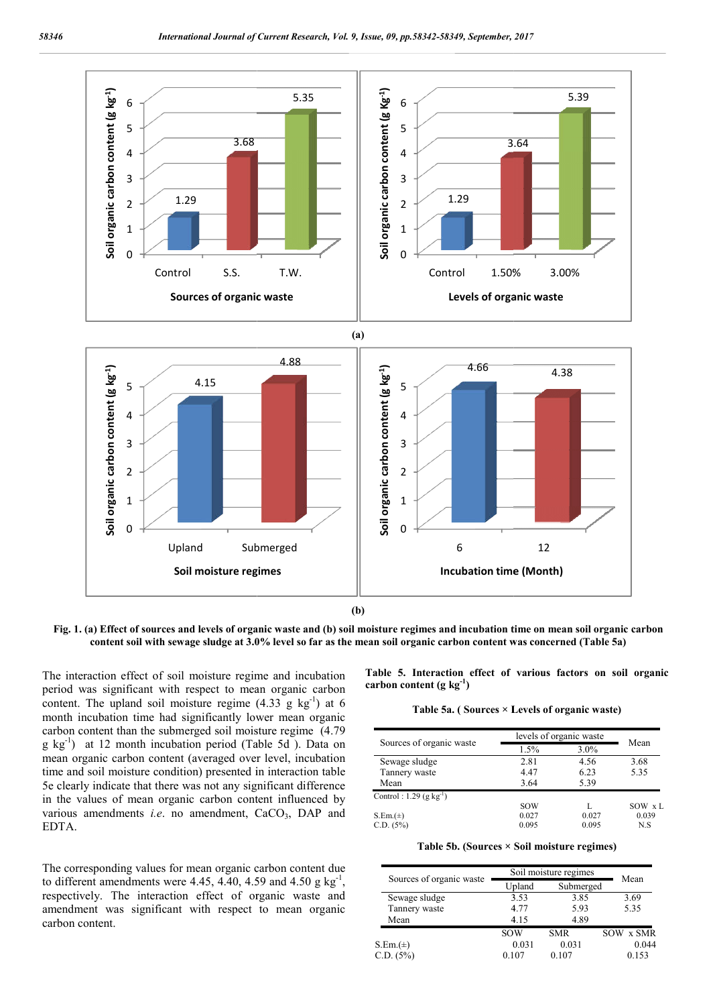

**(b)**

**Fig. 1. (a) Effect of sources and levels of organic waste and (b) soil moisture regimes and incubation time on mean soil organic carb of sources carbon content soil with sewage sludge at 3.0% level so far as the mean soil organic carbon c content was concerned (Table 5a)**

The interaction effect of soil moisture regime and incubation period was significant with respect to mean organic carbon content. The upland soil moisture regime  $(4.33 \text{ g kg}^{-1})$  at 6 month incubation time had significantly lower mean organic carbon content than the submerged soil moisture regime (4.79 g kg<sup>-1</sup>) at 12 month incubation period (Table 5d ). Data on mean organic carbon content (averaged over level, incubation time and soil moisture condition) presented in interaction table 5e clearly indicate that there was not any significant difference in the values of mean organic carbon content influenced by 5e clearly indicate that there was not any significant difference<br>in the values of mean organic carbon content influenced by<br>various amendments *i.e.* no amendment, CaCO<sub>3</sub>, DAP and EDTA.

The corresponding values for mean organic carbon content due to different amendments were  $4.45, 4.40, 4.59$  and  $4.50$  g kg<sup>-1</sup>, respectively. The interaction effect of organic waste and amendment was significant with respect to mean organic carbon content.

**Table 5. Interaction effect of various factors on soil organic carbon content (g kg-1 )** Interaction effect of various factors on so<br>ntent (g kg<sup>-1</sup>)<br>Table 5a. ( Sources × Levels of organic waste)

|                                     | levels of organic waste |         |        |
|-------------------------------------|-------------------------|---------|--------|
| Sources of organic waste            | 1.5%                    | $3.0\%$ | Mean   |
| Sewage sludge                       | 2.81                    | 4.56    | 3.68   |
| Tannery waste                       | 4.47                    | 6.23    | 5.35   |
| Mean                                | 3.64                    | 5.39    |        |
| Control: 1.29 (g kg <sup>-1</sup> ) |                         |         |        |
|                                     | SOW                     |         | SOW xL |
| $S.Em.(\pm)$                        | 0.027                   | 0.027   | 0.039  |
| C.D. (5%)                           | 0.095                   | 0.095   | N.S    |

**Table 5b. (Sources × Soil moisture regimes) Table** 

| Sources of organic waste | Soil moisture regimes | Mean       |           |
|--------------------------|-----------------------|------------|-----------|
|                          | Upland                | Submerged  |           |
| Sewage sludge            | 3.53                  | 3.85       | 3.69      |
| Tannery waste            | 4.77                  | 5.93       | 5.35      |
| Mean                     | 4.15                  | 4.89       |           |
|                          | <b>SOW</b>            | <b>SMR</b> | SOW x SMR |
| $S.Em.(\pm)$             | 0.031                 | 0.031      | 0.044     |
| C.D. (5%)                | 0.107                 | 0.107      | 0.153     |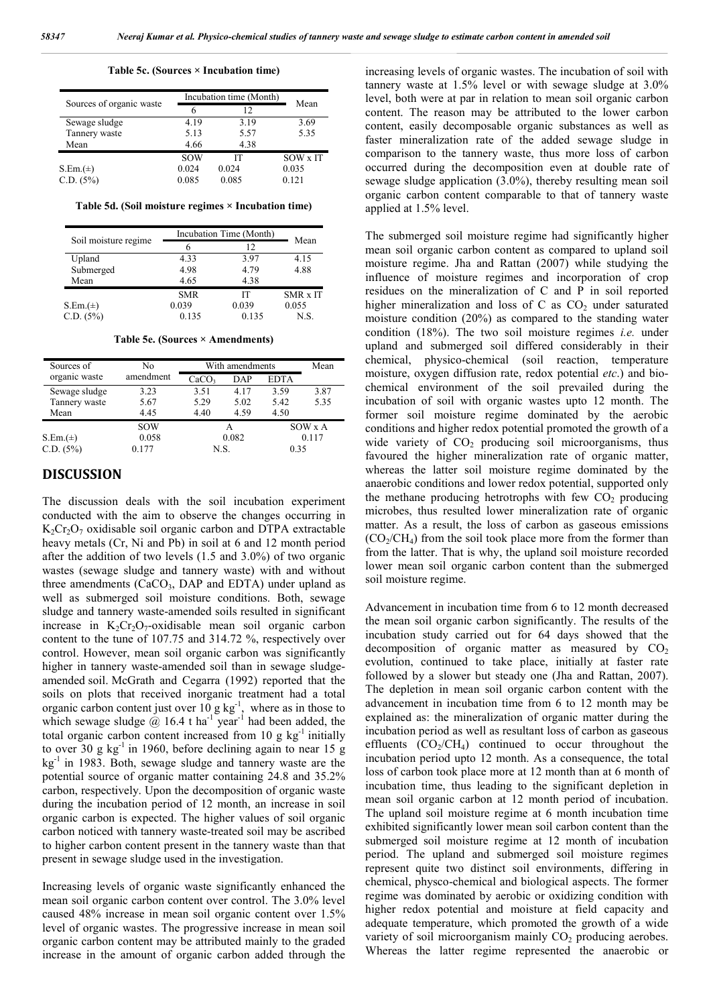**Table 5c. (Sources × Incubation time)**

|                          | Incubation time (Month) |       |          |
|--------------------------|-------------------------|-------|----------|
| Sources of organic waste | 6                       | 12    | Mean     |
| Sewage sludge            | 4.19                    | 3.19  | 3.69     |
| Tannery waste            | 5.13                    | 5.57  | 5.35     |
| Mean                     | 4.66                    | 4.38  |          |
|                          | <b>SOW</b>              | ľТ    | SOW x IT |
| $S.Em.(t+)$              | 0.024                   | 0.024 | 0.035    |
| C.D. (5%)                | 0.085                   | 0.085 | 0.121    |

**Table 5d. (Soil moisture regimes × Incubation time)**

|                      | Incubation Time (Month) |       |                 |
|----------------------|-------------------------|-------|-----------------|
| Soil moisture regime |                         | 12    | Mean            |
| Upland               | 4.33                    | 3.97  | 4.15            |
| Submerged            | 4.98                    | 4.79  | 4.88            |
| Mean                 | 4.65                    | 4.38  |                 |
|                      | <b>SMR</b>              | IТ    | <b>SMR x IT</b> |
| $S.Em.(\pm)$         | 0.039                   | 0.039 | 0.055           |
| C.D. (5%)            | 0.135                   | 0.135 | N.S.            |

**Table 5e. (Sources × Amendments)**

| Sources of    | No         | With amendments   |            |             | Mean |
|---------------|------------|-------------------|------------|-------------|------|
| organic waste | amendment  | CaCO <sub>3</sub> | <b>DAP</b> | <b>EDTA</b> |      |
| Sewage sludge | 3.23       | 3.51              | 4.17       | 3.59        | 3.87 |
| Tannery waste | 5.67       | 5.29              | 5.02       | 5.42        | 5.35 |
| Mean          | 4.45       | 4.40              | 4.59       | 4.50        |      |
|               | <b>SOW</b> |                   |            | SOW x A     |      |
| $S.Em.(\pm)$  | 0.058      | 0.082             |            | 0.117       |      |
| C.D. (5%)     | 0.177      | N.S.              |            | 0.35        |      |

## **DISCUSSION**

The discussion deals with the soil incubation experiment conducted with the aim to observe the changes occurring in  $K_2Cr_2O_7$  oxidisable soil organic carbon and DTPA extractable heavy metals (Cr, Ni and Pb) in soil at 6 and 12 month period after the addition of two levels (1.5 and 3.0%) of two organic wastes (sewage sludge and tannery waste) with and without three amendments  $(CaCO<sub>3</sub>, DAP, and EDTA)$  under upland as well as submerged soil moisture conditions. Both, sewage sludge and tannery waste-amended soils resulted in significant increase in  $K_2Cr_2O_7$ -oxidisable mean soil organic carbon content to the tune of 107.75 and 314.72 %, respectively over control. However, mean soil organic carbon was significantly higher in tannery waste-amended soil than in sewage sludgeamended soil. McGrath and Cegarra (1992) reported that the soils on plots that received inorganic treatment had a total organic carbon content just over  $10 \text{ g kg}^{-1}$ , where as in those to which sewage sludge  $\omega$  16.4 t ha<sup>-1</sup> year<sup>-1</sup> had been added, the total organic carbon content increased from 10 g  $kg<sup>-1</sup>$  initially to over 30 g  $kg^{-1}$  in 1960, before declining again to near 15 g  $kg<sup>-1</sup>$  in 1983. Both, sewage sludge and tannery waste are the potential source of organic matter containing 24.8 and 35.2% carbon, respectively. Upon the decomposition of organic waste during the incubation period of 12 month, an increase in soil organic carbon is expected. The higher values of soil organic carbon noticed with tannery waste-treated soil may be ascribed to higher carbon content present in the tannery waste than that present in sewage sludge used in the investigation.

Increasing levels of organic waste significantly enhanced the mean soil organic carbon content over control. The 3.0% level caused 48% increase in mean soil organic content over 1.5% level of organic wastes. The progressive increase in mean soil organic carbon content may be attributed mainly to the graded increase in the amount of organic carbon added through the increasing levels of organic wastes. The incubation of soil with tannery waste at 1.5% level or with sewage sludge at 3.0% level, both were at par in relation to mean soil organic carbon content. The reason may be attributed to the lower carbon content, easily decomposable organic substances as well as faster mineralization rate of the added sewage sludge in comparison to the tannery waste, thus more loss of carbon occurred during the decomposition even at double rate of sewage sludge application (3.0%), thereby resulting mean soil organic carbon content comparable to that of tannery waste applied at 1.5% level.

The submerged soil moisture regime had significantly higher mean soil organic carbon content as compared to upland soil moisture regime. Jha and Rattan (2007) while studying the influence of moisture regimes and incorporation of crop residues on the mineralization of C and P in soil reported higher mineralization and loss of C as  $CO<sub>2</sub>$  under saturated moisture condition (20%) as compared to the standing water condition (18%). The two soil moisture regimes *i.e.* under upland and submerged soil differed considerably in their chemical, physico-chemical (soil reaction, temperature moisture, oxygen diffusion rate, redox potential *etc*.) and biochemical environment of the soil prevailed during the incubation of soil with organic wastes upto 12 month. The former soil moisture regime dominated by the aerobic conditions and higher redox potential promoted the growth of a wide variety of  $CO<sub>2</sub>$  producing soil microorganisms, thus favoured the higher mineralization rate of organic matter, whereas the latter soil moisture regime dominated by the anaerobic conditions and lower redox potential, supported only the methane producing hetrotrophs with few  $CO<sub>2</sub>$  producing microbes, thus resulted lower mineralization rate of organic matter. As a result, the loss of carbon as gaseous emissions  $(CO<sub>2</sub>/CH<sub>4</sub>)$  from the soil took place more from the former than from the latter. That is why, the upland soil moisture recorded lower mean soil organic carbon content than the submerged soil moisture regime.

Advancement in incubation time from 6 to 12 month decreased the mean soil organic carbon significantly. The results of the incubation study carried out for 64 days showed that the decomposition of organic matter as measured by  $CO<sub>2</sub>$ evolution, continued to take place, initially at faster rate followed by a slower but steady one (Jha and Rattan, 2007). The depletion in mean soil organic carbon content with the advancement in incubation time from 6 to 12 month may be explained as: the mineralization of organic matter during the incubation period as well as resultant loss of carbon as gaseous effluents  $(CO_2/CH_4)$  continued to occur throughout the incubation period upto 12 month. As a consequence, the total loss of carbon took place more at 12 month than at 6 month of incubation time, thus leading to the significant depletion in mean soil organic carbon at 12 month period of incubation. The upland soil moisture regime at 6 month incubation time exhibited significantly lower mean soil carbon content than the submerged soil moisture regime at 12 month of incubation period. The upland and submerged soil moisture regimes represent quite two distinct soil environments, differing in chemical, physco-chemical and biological aspects. The former regime was dominated by aerobic or oxidizing condition with higher redox potential and moisture at field capacity and adequate temperature, which promoted the growth of a wide variety of soil microorganism mainly  $CO<sub>2</sub>$  producing aerobes. Whereas the latter regime represented the anaerobic or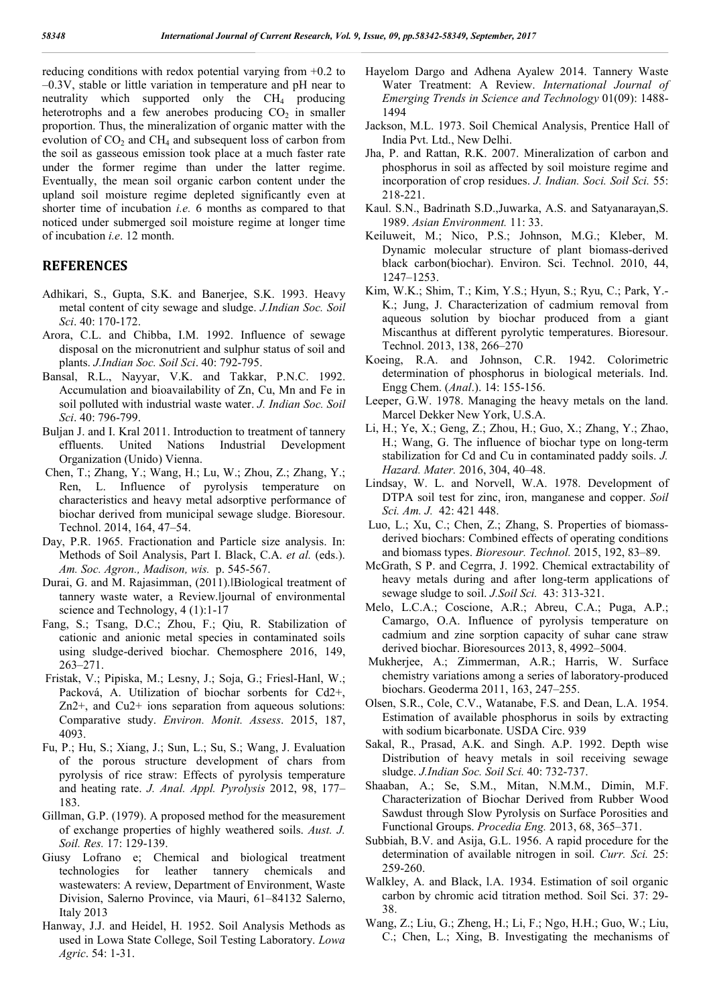reducing conditions with redox potential varying from +0.2 to –0.3V, stable or little variation in temperature and pH near to neutrality which supported only the  $CH<sub>4</sub>$  producing heterotrophs and a few anerobes producing  $CO<sub>2</sub>$  in smaller proportion. Thus, the mineralization of organic matter with the evolution of  $CO<sub>2</sub>$  and  $CH<sub>4</sub>$  and subsequent loss of carbon from the soil as gasseous emission took place at a much faster rate under the former regime than under the latter regime. Eventually, the mean soil organic carbon content under the upland soil moisture regime depleted significantly even at shorter time of incubation *i.e.* 6 months as compared to that noticed under submerged soil moisture regime at longer time of incubation *i.e*. 12 month.

### **REFERENCES**

- Adhikari, S., Gupta, S.K. and Banerjee, S.K. 1993. Heavy metal content of city sewage and sludge. *J.Indian Soc. Soil Sci*. 40: 170-172.
- Arora, C.L. and Chibba, I.M. 1992. Influence of sewage disposal on the micronutrient and sulphur status of soil and plants. *J.Indian Soc. Soil Sci*. 40: 792-795.
- Bansal, R.L., Nayyar, V.K. and Takkar, P.N.C. 1992. Accumulation and bioavailability of Zn, Cu, Mn and Fe in soil polluted with industrial waste water. *J. Indian Soc. Soil Sci*. 40: 796-799.
- Buljan J. and I. Kral 2011. Introduction to treatment of tannery effluents. United Nations Industrial Development Organization (Unido) Vienna.
- Chen, T.; Zhang, Y.; Wang, H.; Lu, W.; Zhou, Z.; Zhang, Y.; Ren, L. Influence of pyrolysis temperature on characteristics and heavy metal adsorptive performance of biochar derived from municipal sewage sludge. Bioresour. Technol. 2014, 164, 47–54.
- Day, P.R. 1965. Fractionation and Particle size analysis. In: Methods of Soil Analysis, Part I. Black, C.A. *et al.* (eds.). *Am. Soc. Agron., Madison, wis.* p. 545-567.
- Durai, G. and M. Rajasimman, (2011). Biological treatment of tannery waste water, a Review.‖journal of environmental science and Technology, 4 (1):1-17
- Fang, S.; Tsang, D.C.; Zhou, F.; Qiu, R. Stabilization of cationic and anionic metal species in contaminated soils using sludge-derived biochar. Chemosphere 2016, 149, 263–271.
- Fristak, V.; Pipiska, M.; Lesny, J.; Soja, G.; Friesl-Hanl, W.; Packová, A. Utilization of biochar sorbents for Cd2+, Zn2+, and Cu2+ ions separation from aqueous solutions: Comparative study. *Environ. Monit. Assess*. 2015, 187, 4093.
- Fu, P.; Hu, S.; Xiang, J.; Sun, L.; Su, S.; Wang, J. Evaluation of the porous structure development of chars from pyrolysis of rice straw: Effects of pyrolysis temperature and heating rate. *J. Anal. Appl. Pyrolysis* 2012, 98, 177– 183.
- Gillman, G.P. (1979). A proposed method for the measurement of exchange properties of highly weathered soils. *Aust. J. Soil. Res.* 17: 129-139.
- Giusy Lofrano e; Chemical and biological treatment technologies for leather tannery chemicals and wastewaters: A review, Department of Environment, Waste Division, Salerno Province, via Mauri, 61–84132 Salerno, Italy 2013
- Hanway, J.J. and Heidel, H. 1952. Soil Analysis Methods as used in Lowa State College, Soil Testing Laboratory. *Lowa Agric*. 54: 1-31.
- Hayelom Dargo and Adhena Ayalew 2014. Tannery Waste Water Treatment: A Review. *International Journal of Emerging Trends in Science and Technology* 01(09): 1488- 1494
- Jackson, M.L. 1973. Soil Chemical Analysis, Prentice Hall of India Pvt. Ltd., New Delhi.
- Jha, P. and Rattan, R.K. 2007. Mineralization of carbon and phosphorus in soil as affected by soil moisture regime and incorporation of crop residues. *J. Indian. Soci. Soil Sci.* 55: 218-221.
- Kaul. S.N., Badrinath S.D.,Juwarka, A.S. and Satyanarayan,S. 1989. *Asian Environment.* 11: 33.
- Keiluweit, M.; Nico, P.S.; Johnson, M.G.; Kleber, M. Dynamic molecular structure of plant biomass-derived black carbon(biochar). Environ. Sci. Technol. 2010, 44, 1247–1253.
- Kim, W.K.; Shim, T.; Kim, Y.S.; Hyun, S.; Ryu, C.; Park, Y.- K.; Jung, J. Characterization of cadmium removal from aqueous solution by biochar produced from a giant Miscanthus at different pyrolytic temperatures. Bioresour. Technol. 2013, 138, 266–270
- Koeing, R.A. and Johnson, C.R. 1942. Colorimetric determination of phosphorus in biological meterials. Ind. Engg Chem. (*Anal*.). 14: 155-156.
- Leeper, G.W. 1978. Managing the heavy metals on the land. Marcel Dekker New York, U.S.A.
- Li, H.; Ye, X.; Geng, Z.; Zhou, H.; Guo, X.; Zhang, Y.; Zhao, H.; Wang, G. The influence of biochar type on long-term stabilization for Cd and Cu in contaminated paddy soils. *J. Hazard. Mater.* 2016, 304, 40–48.
- Lindsay, W. L. and Norvell, W.A. 1978. Development of DTPA soil test for zinc, iron, manganese and copper. *Soil Sci. Am. J.* 42: 421 448.
- Luo, L.; Xu, C.; Chen, Z.; Zhang, S. Properties of biomassderived biochars: Combined effects of operating conditions and biomass types. *Bioresour. Technol.* 2015, 192, 83–89.
- McGrath, S P. and Cegrra, J. 1992. Chemical extractability of heavy metals during and after long-term applications of sewage sludge to soil. *J.Soil Sci.* 43: 313-321.
- Melo, L.C.A.; Coscione, A.R.; Abreu, C.A.; Puga, A.P.; Camargo, O.A. Influence of pyrolysis temperature on cadmium and zine sorption capacity of suhar cane straw derived biochar. Bioresources 2013, 8, 4992–5004.
- Mukherjee, A.; Zimmerman, A.R.; Harris, W. Surface chemistry variations among a series of laboratory-produced biochars. Geoderma 2011, 163, 247–255.
- Olsen, S.R., Cole, C.V., Watanabe, F.S. and Dean, L.A. 1954. Estimation of available phosphorus in soils by extracting with sodium bicarbonate. USDA Circ. 939
- Sakal, R., Prasad, A.K. and Singh. A.P. 1992. Depth wise Distribution of heavy metals in soil receiving sewage sludge. *J.Indian Soc. Soil Sci.* 40: 732-737.
- Shaaban, A.; Se, S.M., Mitan, N.M.M., Dimin, M.F. Characterization of Biochar Derived from Rubber Wood Sawdust through Slow Pyrolysis on Surface Porosities and Functional Groups. *Procedia Eng.* 2013, 68, 365–371.
- Subbiah, B.V. and Asija, G.L. 1956. A rapid procedure for the determination of available nitrogen in soil. *Curr. Sci.* 25: 259-260.
- Walkley, A. and Black, l.A. 1934. Estimation of soil organic carbon by chromic acid titration method. Soil Sci. 37: 29- 38.
- Wang, Z.; Liu, G.; Zheng, H.; Li, F.; Ngo, H.H.; Guo, W.; Liu, C.; Chen, L.; Xing, B. Investigating the mechanisms of